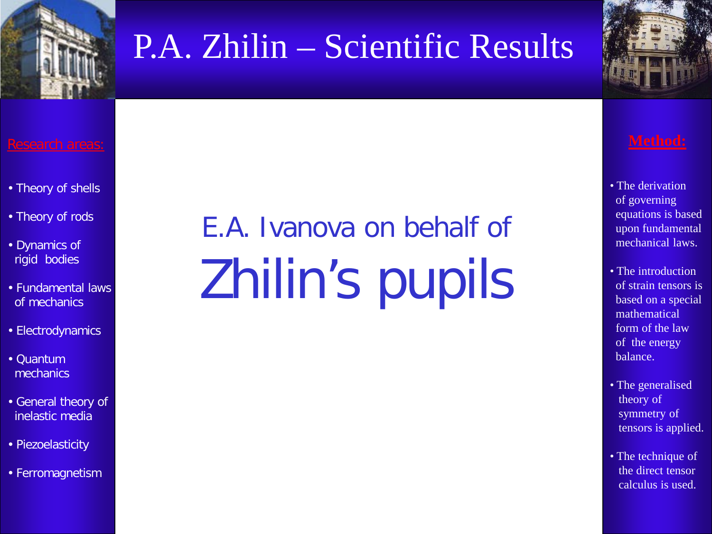



- Theory of shells
- Theory of rods
- Dynamics of rigid bodies
- Fundamental laws of mechanics
- Electrodynamics
- Quantum mechanics
- General theory of inelastic media
- Piezoelasticity
- Ferromagnetism

# E.A. Ivanova on behalf of Zhilin's pupils

- The derivation of governing equations is based upon fundamental mechanical laws.
- The introduction of strain tensors is based on a special mathematical form of the law of the energy balance.
- The generalised theory of symmetry of tensors is applied.
- The technique of the direct tensor calculus is used.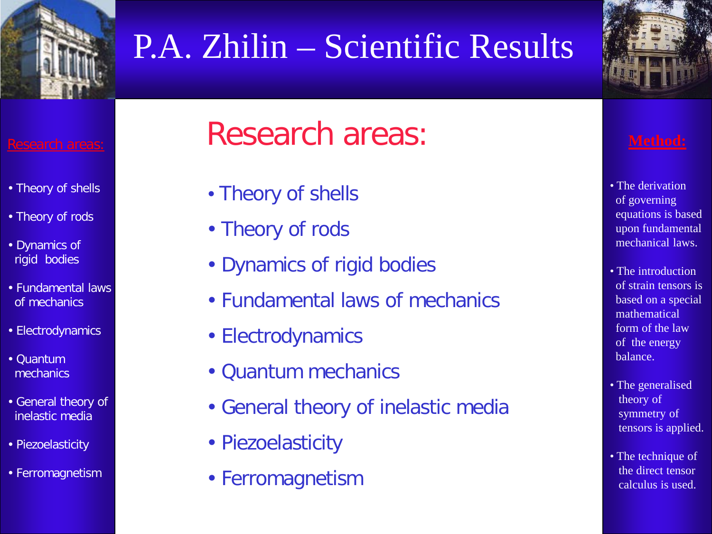



- Theory of shells
- Theory of rods
- Dynamics of rigid bodies
- Fundamental laws of mechanics
- Electrodynamics
- Quantum mechanics
- General theory of inelastic media
- Piezoelasticity
- Ferromagnetism

## Research areas:

- Theory of shells
- Theory of rods
- Dynamics of rigid bodies
- Fundamental laws of mechanics
- Electrodynamics
- Quantum mechanics
- General theory of inelastic media
- Piezoelasticity
- Ferromagnetism

- The derivation of governing equations is based upon fundamental mechanical laws.
- The introduction of strain tensors is based on a special mathematical form of the law of the energy balance.
- The generalised theory of symmetry of tensors is applied.
- The technique of the direct tensor calculus is used.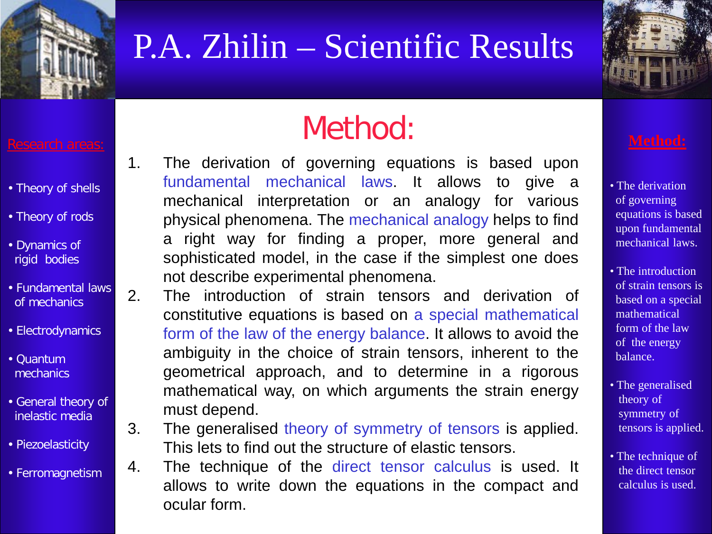



- Theory of shells
- Theory of rods
- Dynamics of rigid bodies
- Fundamental laws of mechanics
- Electrodynamics
- Quantum mechanics
- General theory of inelastic media
- Piezoelasticity
- Ferromagnetism

## Method:

- 1. The derivation of governing equations is based upon fundamental mechanical laws. It allows to give a mechanical interpretation or an analogy for various physical phenomena. The mechanical analogy helps to find a right way for finding a proper, more general and sophisticated model, in the case if the simplest one does not describe experimental phenomena.
- 2. The introduction of strain tensors and derivation of constitutive equations is based on a special mathematical form of the law of the energy balance. It allows to avoid the ambiguity in the choice of strain tensors, inherent to the geometrical approach, and to determine in a rigorous mathematical way, on which arguments the strain energy must depend.
- 3. The generalised theory of symmetry of tensors is applied. This lets to find out the structure of elastic tensors.
- 4. The technique of the direct tensor calculus is used. It allows to write down the equations in the compact and ocular form.

- The derivation of governing equations is based upon fundamental mechanical laws.
- The introduction of strain tensors is based on a special mathematical form of the law of the energy balance.
- The generalised theory of symmetry of tensors is applied.
- The technique of the direct tensor calculus is used.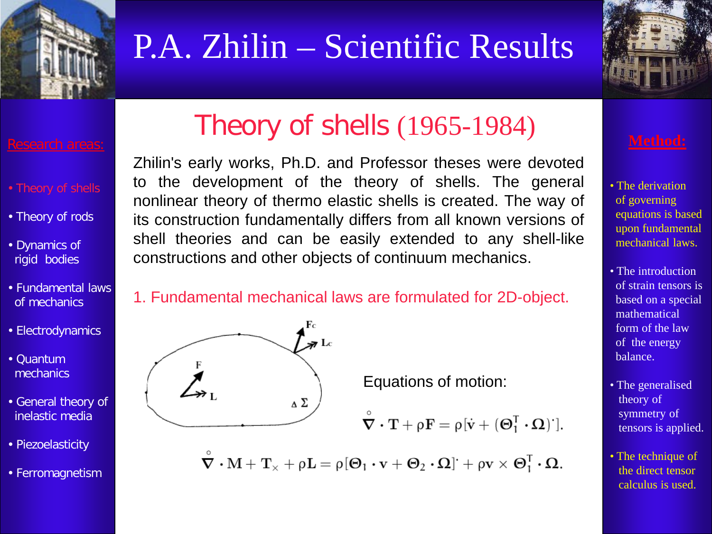



- Theory of rods
- Dynamics of rigid bodies
- Fundamental laws of mechanics
- Electrodynamics
- Quantum mechanics
- General theory of inelastic media
- Piezoelasticity
- Ferromagnetism

## Theory of shells (1965-1984)

Zhilin's early works, Ph.D. and Professor theses were devoted to the development of the theory of shells. The general nonlinear theory of thermo elastic shells is created. The way of its construction fundamentally differs from all known versions of shell theories and can be easily extended to any shell-like constructions and other objects of continuum mechanics.

### 1. Fundamental mechanical laws are formulated for 2D-object.



Equations of motion:

$$
\overset{\circ}{\boldsymbol{\nabla}}\boldsymbol{\cdot}\mathbf{T}+\rho\mathbf{F}=\rho[\dot{\boldsymbol{v}}+(\boldsymbol{\Theta}_{1}^{T}\boldsymbol{\cdot}\boldsymbol{\Omega})^{r}]
$$

 $\tilde{\nabla} \cdot M + T_{\times} + \rho L = \rho [\Theta_1 \cdot v + \Theta_2 \cdot \Omega] + \rho v \times \Theta_1^T \cdot \Omega.$ 

- The derivation of governing equations is based upon fundamental mechanical laws.
- The introduction of strain tensors is based on a special mathematical form of the law of the energy balance.
- The generalised theory of symmetry of tensors is applied.
- The technique of the direct tensor calculus is used.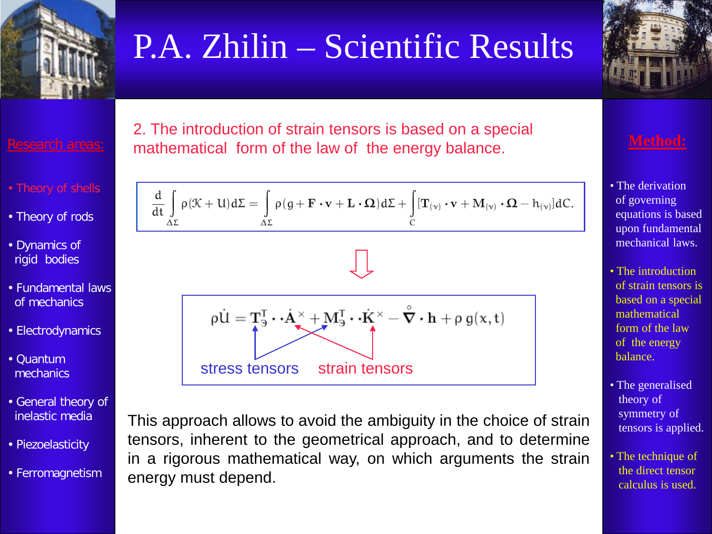

2. The introduction of strain tensors is based on a special mathematical form of the law of the energy balance.

- 
- Theory of rods
- Dynamics of rigid bodies
- Fundamental laws of mechanics
- Electrodynamics
- Quantum **mechanics**
- General theory of inelastic media
- Piezoelasticity
- Ferromagnetism

$$
\frac{d}{dt} \int_{\Delta \Sigma} \rho(\mathcal{K} + U) d\Sigma = \int_{\Delta \Sigma} \rho(g + \mathbf{F} \cdot \mathbf{v} + \mathbf{L} \cdot \Omega) d\Sigma + \int_{C} [\mathbf{T}_{(\nu)} \cdot \mathbf{v} + \mathbf{M}_{(\nu)} \cdot \Omega - h_{(\nu)}] dC.
$$

$$
\rho \dot{U} = T_3^T \cdot \dot{A}^{\times} + M_3^T \cdot \dot{K}^{\times} - \overset{\circ}{\nabla} \cdot \mathbf{h} + \rho g(x, t)
$$
  
stress tensors strain tensors

This approach allows to avoid the ambiguity in the choice of strain tensors, inherent to the geometrical approach, and to determine in a rigorous mathematical way, on which arguments the strain energy must depend.

$$
\frac{1}{\sqrt{\frac{1}{\sqrt{2}}\cdot\frac{1}{\sqrt{2}}\cdot\frac{1}{\sqrt{2}}\cdot\frac{1}{\sqrt{2}}\cdot\frac{1}{\sqrt{2}}\cdot\frac{1}{\sqrt{2}}\cdot\frac{1}{\sqrt{2}}\cdot\frac{1}{\sqrt{2}}\cdot\frac{1}{\sqrt{2}}\cdot\frac{1}{\sqrt{2}}\cdot\frac{1}{\sqrt{2}}\cdot\frac{1}{\sqrt{2}}\cdot\frac{1}{\sqrt{2}}\cdot\frac{1}{\sqrt{2}}\cdot\frac{1}{\sqrt{2}}\cdot\frac{1}{\sqrt{2}}\cdot\frac{1}{\sqrt{2}}\cdot\frac{1}{\sqrt{2}}\cdot\frac{1}{\sqrt{2}}\cdot\frac{1}{\sqrt{2}}\cdot\frac{1}{\sqrt{2}}\cdot\frac{1}{\sqrt{2}}\cdot\frac{1}{\sqrt{2}}\cdot\frac{1}{\sqrt{2}}\cdot\frac{1}{\sqrt{2}}\cdot\frac{1}{\sqrt{2}}\cdot\frac{1}{\sqrt{2}}\cdot\frac{1}{\sqrt{2}}\cdot\frac{1}{\sqrt{2}}\cdot\frac{1}{\sqrt{2}}\cdot\frac{1}{\sqrt{2}}\cdot\frac{1}{\sqrt{2}}\cdot\frac{1}{\sqrt{2}}\cdot\frac{1}{\sqrt{2}}\cdot\frac{1}{\sqrt{2}}\cdot\frac{1}{\sqrt{2}}\cdot\frac{1}{\sqrt{2}}\cdot\frac{1}{\sqrt{2}}\cdot\frac{1}{\sqrt{2}}\cdot\frac{1}{\sqrt{2}}\cdot\frac{1}{\sqrt{2}}\cdot\frac{1}{\sqrt{2}}\cdot\frac{1}{\sqrt{2}}\cdot\frac{1}{\sqrt{2}}\cdot\frac{1}{\sqrt{2}}\cdot\frac{1}{\sqrt{2}}\cdot\frac{1}{\sqrt{2}}\cdot\frac{1}{\sqrt{2}}\cdot\frac{1}{\sqrt{2}}\cdot\frac{1}{\sqrt{2}}\cdot\frac{1}{\sqrt{2}}\cdot\frac{1}{\sqrt{2}}\cdot\frac{1}{\sqrt{2}}\cdot\frac{1}{\sqrt{2}}\cdot\frac{1}{\sqrt{2}}\cdot\frac{1}{\sqrt{2}}\cdot\frac{1}{\sqrt{2}}\cdot\frac{1}{\sqrt{2}}\cdot\frac{1}{\sqrt{2}}\cdot\frac{1}{\sqrt{2}}\cdot\frac{1}{\sqrt{2}}\cdot\frac{1}{\sqrt{2}}\cdot\frac{1}{\sqrt{2
$$

- The derivation of governing equations is based upon fundamental mechanical laws.
- The introduction of strain tensors is based on a special mathematical form of the law of the energy balance.
- The generalised theory of symmetry of tensors is applied.
- The technique of the direct tensor calculus is used.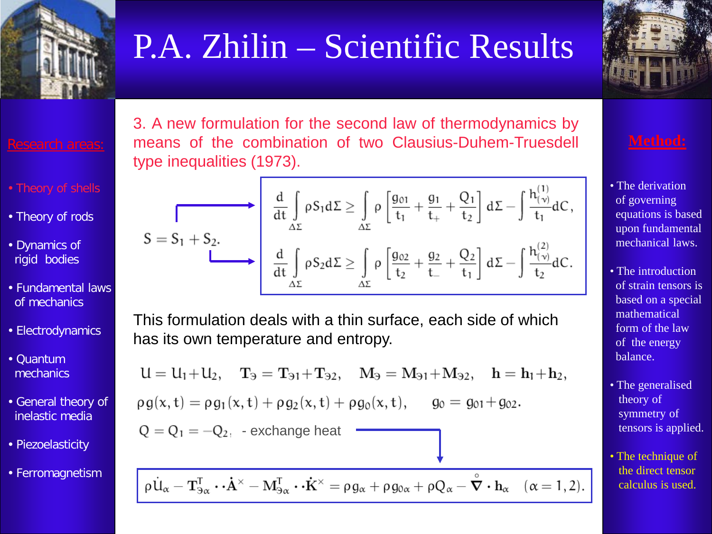



- 
- Theory of rods
- Dynamics of rigid bodies
- Fundamental laws of mechanics
- Electrodynamics
- Quantum mechanics
- General theory of inelastic media
- Piezoelasticity
- Ferromagnetism

3. A new formulation for the second law of thermodynamics by means of the combination of two Clausius-Duhem-Truesdell type inequalities (1973).

$$
S=S_1+S_2.
$$
\n
$$
\begin{array}{c}\n\frac{d}{dt}\int\limits_{\Delta\Sigma}\rho S_1 d\Sigma \geq \int\limits_{\Delta\Sigma}\rho\left[\frac{g_{01}}{t_1}+\frac{g_1}{t_+}+\frac{Q_1}{t_2}\right]d\Sigma-\int\limits_{t_1}^{t_1(t_0)}dC,\\
\frac{d}{dt}\int\limits_{\Delta\Sigma}\rho S_2 d\Sigma \geq \int\limits_{\Delta\Sigma}\rho\left[\frac{g_{02}}{t_2}+\frac{g_2}{t_-}+\frac{Q_2}{t_1}\right]d\Sigma-\int\limits_{t_2}^{t_1(t_0)}dC.\n\end{array}
$$

This formulation deals with a thin surface, each side of which has its own temperature and entropy.

$$
U = U_1 + U_2, \quad T_3 = T_{31} + T_{32}, \quad M_3 = M_{31} + M_{32}, \quad h = h_1 + h_2,
$$
  
\n
$$
\rho g(x, t) = \rho g_1(x, t) + \rho g_2(x, t) + \rho g_0(x, t), \quad g_0 = g_{01} + g_{02}.
$$
  
\n
$$
Q = Q_1 = -Q_2, \quad \text{exchange heat}
$$

 $\rho \dot{\mathbf{u}}_{\alpha} - \mathbf{T}_{3\alpha}^{\mathsf{T}} \cdot \dot{\mathbf{A}}^{\times} - \mathbf{M}_{3\alpha}^{\mathsf{T}} \cdot \dot{\mathbf{K}}^{\times} = \rho g_{\alpha} + \rho g_{0\alpha} + \rho Q_{\alpha} - \dot{\nabla} \cdot \mathbf{h}_{\alpha} \quad (\alpha = 1, 2).$ 

- The derivation of governing equations is based upon fundamental mechanical laws.
- The introduction of strain tensors is based on a special mathematical form of the law of the energy balance.
- The generalised theory of symmetry of tensors is applied.
- The technique of the direct tensor calculus is used.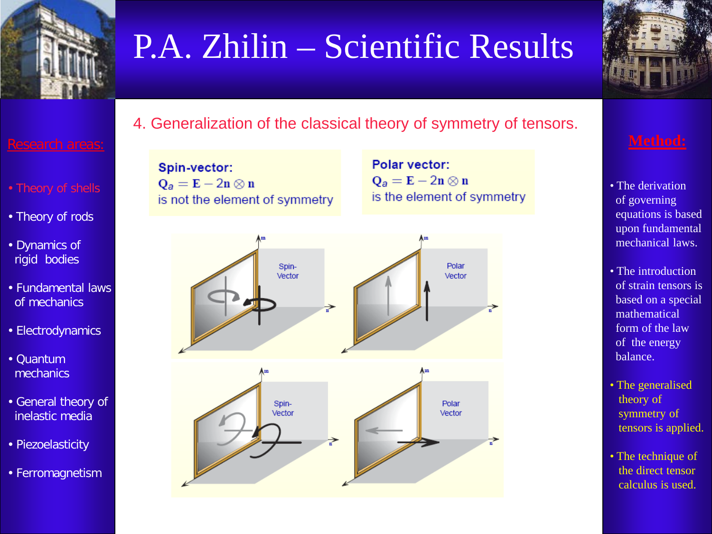



### 4. Generalization of the classical theory of symmetry of tensors.

- 
- Theory of rods
- Dynamics of rigid bodies
- Fundamental laws of mechanics
- Electrodynamics
- Quantum mechanics
- General theory of inelastic media
- Piezoelasticity
- Ferromagnetism

Spin-vector:  $Q_a = E - 2n \otimes n$ is not the element of symmetry

Polar vector:  $Q_a = E - 2n \otimes n$ is the element of symmetry



- The derivation of governing equations is based upon fundamental mechanical laws.
- The introduction of strain tensors is based on a special mathematical form of the law of the energy balance.
- The generalised theory of symmetry of tensors is applied.
- The technique of the direct tensor calculus is used.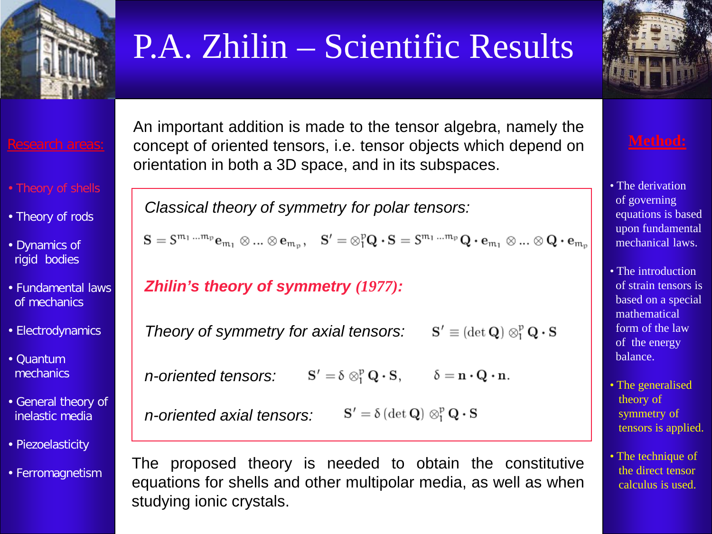



- 
- Theory of rods
- Dynamics of rigid bodies
- Fundamental laws of mechanics
- Electrodynamics
- Quantum mechanics
- General theory of inelastic media
- Piezoelasticity
- Ferromagnetism

An important addition is made to the tensor algebra, namely the concept of oriented tensors, i.e. tensor objects which depend on orientation in both a 3D space, and in its subspaces.

*Classical theory of symmetry for polar tensors:*

 $S = S^{m_1 \dots m_p} e_{m_1} \otimes \dots \otimes e_{m_p}, \quad S' = \otimes_1^p Q \cdot S = S^{m_1 \dots m_p} Q \cdot e_{m_1} \otimes \dots \otimes Q \cdot e_{m_p}$ 

*Zhilin's theory of symmetry (1977):*

*Theory of symmetry for axial tensors:*  $S' \equiv (\det Q) \otimes_1^p Q \cdot S$ 

 $S' = \delta \otimes_1^p Q \cdot S, \qquad \delta = n \cdot Q \cdot n.$ *n-oriented tensors:*

*n-oriented axial tensors:*  $\mathbf{S}' = \delta \left( \det \mathbf{Q} \right) \otimes_{i}^{p} \mathbf{Q} \cdot \mathbf{S}$ 

The proposed theory is needed to obtain the constitutive equations for shells and other multipolar media, as well as when studying ionic crystals.

- The derivation of governing equations is based upon fundamental mechanical laws.
- The introduction of strain tensors is based on a special mathematical form of the law of the energy balance.
- The generalised theory of symmetry of tensors is applied.
- The technique of the direct tensor calculus is used.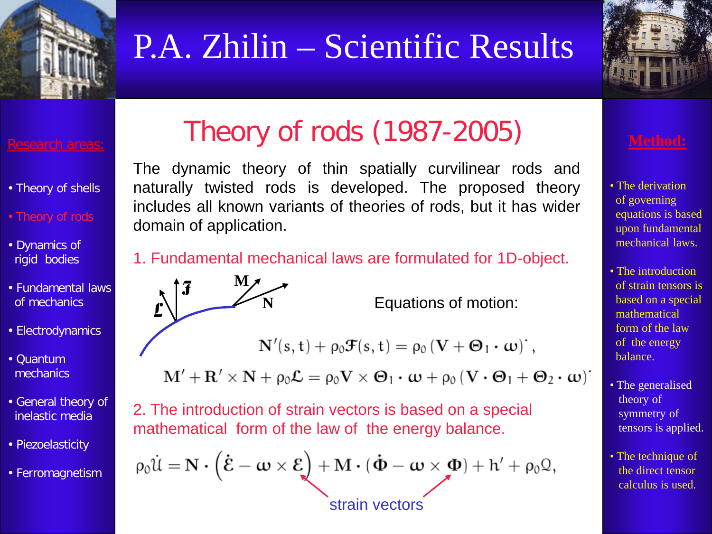



### Research areas:

- Theory of shells
- Theory of rods
- Dynamics of rigid bodies
- Fundamental laws of mechanics
- Electrodynamics
- Quantum mechanics
- General theory of inelastic media
- Piezoelasticity
- Ferromagnetism

## Theory of rods (1987-2005)

The dynamic theory of thin spatially curvilinear rods and naturally twisted rods is developed. The proposed theory includes all known variants of theories of rods, but it has wider domain of application.

### 1. Fundamental mechanical laws are formulated for 1D-object.



**N** Equations of motion:

$$
N'(s,t)+\rho_0 \mathcal{F}(s,t)=\rho_0 \left(\mathbf{V}+\mathbf{\Theta}_1\boldsymbol{\cdot}\boldsymbol{\omega}\right)\dot{\boldsymbol{\cdot}},
$$

$$
\mathbf{M}'+\mathbf{R}'\times\mathbf{N}+\rho_0\mathcal{L}=\rho_0\mathbf{V}\times\boldsymbol{\Theta}_1\boldsymbol{\cdot}\boldsymbol{\omega}+\rho_0\left(\mathbf{V}\boldsymbol{\cdot}\boldsymbol{\Theta}_1+\boldsymbol{\Theta}_2\boldsymbol{\cdot}\boldsymbol{\omega}\right)^\boldsymbol{\cdot}
$$

2. The introduction of strain vectors is based on a special mathematical form of the law of the energy balance.

$$
\rho_0 \dot{\mathcal{U}} = \mathbf{N} \cdot (\dot{\mathcal{E}} - \boldsymbol{\omega} \times \boldsymbol{\mathcal{E}}) + \mathbf{M} \cdot (\dot{\boldsymbol{\Phi}} - \boldsymbol{\omega} \times \boldsymbol{\Phi}) + h' + \rho_0 \Omega,
$$
  
strain vectors

- The derivation of governing equations is based upon fundamental mechanical laws.
- The introduction of strain tensors is based on a special mathematical form of the law of the energy balance.
- The generalised theory of symmetry of tensors is applied.
- The technique of the direct tensor calculus is used.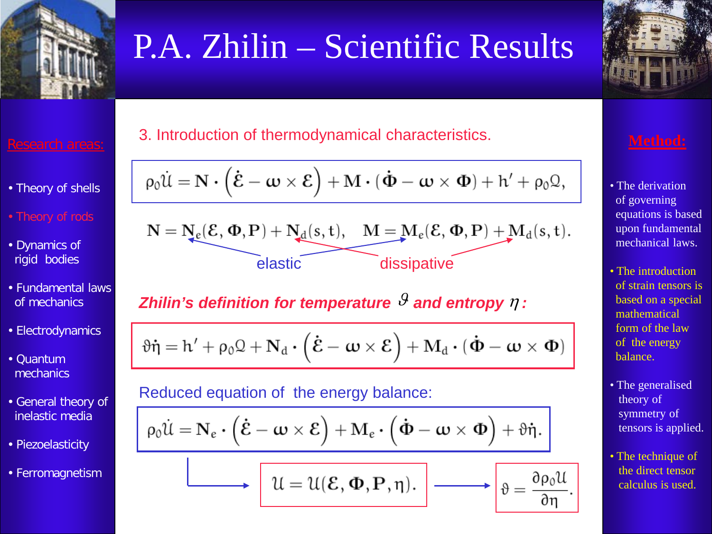

- Theory of shells
- Theory of rods
- Dynamics of rigid bodies
- Fundamental laws of mechanics
- Electrodynamics
- Quantum mechanics
- General theory of inelastic media
- Piezoelasticity
- Ferromagnetism

### 3. Introduction of thermodynamical characteristics.

$$
\rho_0\dot{\mathcal{U}} = \mathbf{N}\boldsymbol{\cdot}\left(\dot{\boldsymbol{\mathcal{E}}}-\boldsymbol{\omega}\times\boldsymbol{\mathcal{E}}\right) + \mathbf{M}\boldsymbol{\cdot}(\boldsymbol{\dot{\Phi}}-\boldsymbol{\omega}\times\boldsymbol{\Phi}) + h' + \rho_0\mathbf{\mathcal{Q}},
$$

$$
\mathbf{N} = \underbrace{\mathbf{N}_e(\mathcal{E},\Phi,\mathbf{P}) + \mathbf{N}_d(s,t), \quad \mathbf{M} = \mathbf{M}_e(\mathcal{E},\Phi,\mathbf{P}) + \mathbf{M}_d(s,t)}_{\text{elastic}}.
$$

### *Zhilin's definition for temperature*  $\theta$  *and entropy*  $\eta$  *:*

$$
\vartheta\dot{\eta} = h' + \rho_0\mathcal{Q} + \mathbf{N}_d \cdot (\dot{\boldsymbol{\mathcal{E}}}-\boldsymbol{\omega}\times\boldsymbol{\mathcal{E}}) + \mathbf{M}_d \cdot (\dot{\boldsymbol{\Phi}}-\boldsymbol{\omega}\times\boldsymbol{\Phi})
$$

### Reduced equation of the energy balance:

$$
\rho_0\dot{\mathfrak{U}}=\mathbf{N}_{\varepsilon}\boldsymbol{\cdot}\left(\dot{\boldsymbol{\mathcal{E}}}-\boldsymbol{\omega}\times\boldsymbol{\mathcal{E}}\right)+\mathbf{M}_{\varepsilon}\boldsymbol{\cdot}\left(\dot{\boldsymbol{\Phi}}-\boldsymbol{\omega}\times\boldsymbol{\Phi}\right)+\vartheta\dot{\boldsymbol{\eta}}.\ \bigg\vert
$$

$$
\boxed{\mathcal{U} = \mathcal{U}(\mathcal{E}, \Phi, \mathbf{P}, \eta). \longrightarrow \boxed{\vartheta = \frac{\partial}{\partial \vartheta}}
$$

- The derivation of governing equations is based upon fundamental mechanical laws.
- The introduction of strain tensors is based on a special mathematical form of the law of the energy balance.
- The generalised theory of symmetry of tensors is applied.
- The technique of the direct tensor calculus is used.

 $\rho_0$ U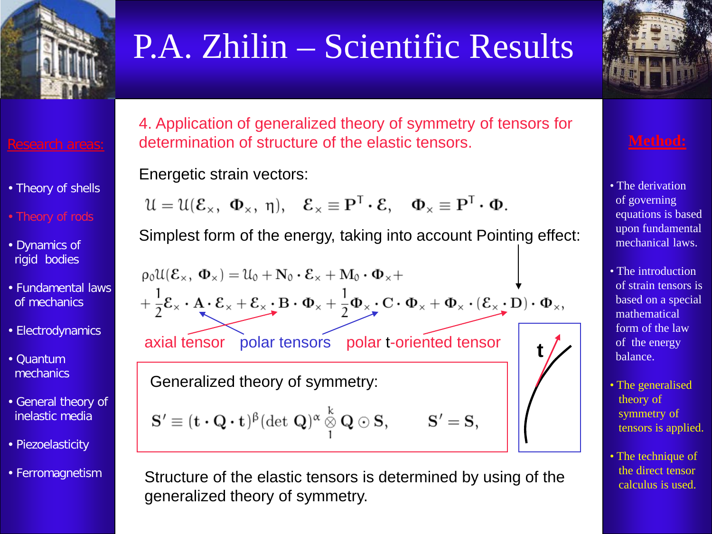

Research areas:

- Theory of shells
- Theory of rods
- Dynamics of rigid bodies
- Fundamental laws of mechanics
- Electrodynamics
- Quantum mechanics
- General theory of inelastic media
- Piezoelasticity
- Ferromagnetism

4. Application of generalized theory of symmetry of tensors for determination of structure of the elastic tensors.

Energetic strain vectors:

$$
\mathfrak{U}=\mathfrak{U}(\mathcal{E}_\times, \ \Phi_\times, \ \eta), \quad \mathcal{E}_\times\equiv \mathbf{P}^T\boldsymbol{\cdot}\mathcal{E}, \quad \Phi_\times\equiv \mathbf{P}^T\boldsymbol{\cdot}\Phi.
$$

Simplest form of the energy, taking into account Pointing effect:

$$
\rho_0 U(\mathcal{E}_x, \Phi_x) = U_0 + N_0 \cdot \mathcal{E}_x + M_0 \cdot \Phi_x + \frac{1}{2} \mathcal{E}_x \cdot A \cdot \mathcal{E}_x + \mathcal{E}_x \cdot B \cdot \Phi_x + \frac{1}{2} \Phi_x \cdot C \cdot \Phi_x + \Phi_x \cdot (\mathcal{E}_x \cdot D) \cdot \Phi_x,
$$
  
axial tensor polar tensors polar t-oriented tensor  
Generalized theory of symmetry:

$$
\mathbf{S}' \equiv (\mathbf{t} \cdot \mathbf{Q} \cdot \mathbf{t})^{\beta} (\det \mathbf{Q})^{\alpha} \overset{k}{\underset{1}{\otimes}} \mathbf{Q} \odot \mathbf{S}, \qquad \mathbf{S}
$$

 $S' = S,$ 

Structure of the elastic tensors is determined by using of the generalized theory of symmetry.



- The derivation of governing equations is based upon fundamental mechanical laws.
- The introduction of strain tensors is based on a special mathematical form of the law of the energy balance.
- The generalised theory of symmetry of tensors is applied.
- The technique of the direct tensor calculus is used.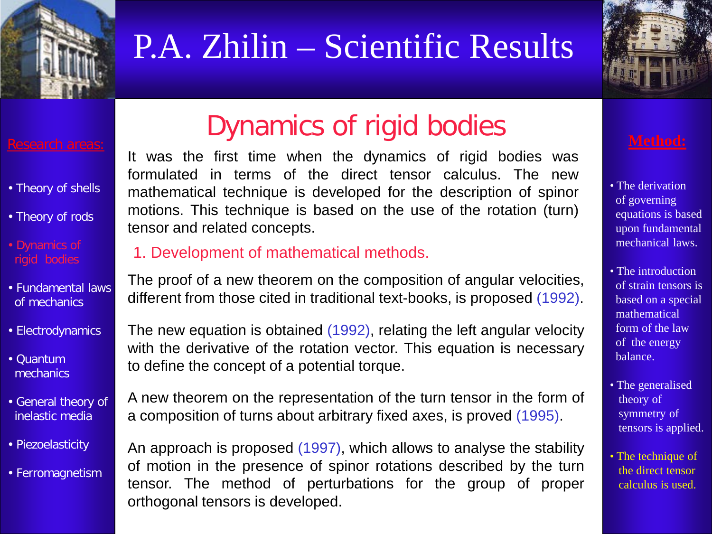



### Research areas:

- Theory of shells
- Theory of rods
- Dynamics of rigid bodies
- Fundamental laws of mechanics
- Electrodynamics
- Quantum mechanics
- General theory of inelastic media
- Piezoelasticity
- Ferromagnetism

## Dynamics of rigid bodies

It was the first time when the dynamics of rigid bodies was formulated in terms of the direct tensor calculus. The new mathematical technique is developed for the description of spinor motions. This technique is based on the use of the rotation (turn) tensor and related concepts.

### 1. Development of mathematical methods.

The proof of a new theorem on the composition of angular velocities, different from those cited in traditional text-books, is proposed (1992).

The new equation is obtained (1992), relating the left angular velocity with the derivative of the rotation vector. This equation is necessary to define the concept of a potential torque.

A new theorem on the representation of the turn tensor in the form of a composition of turns about arbitrary fixed axes, is proved (1995).

An approach is proposed (1997), which allows to analyse the stability of motion in the presence of spinor rotations described by the turn tensor. The method of perturbations for the group of proper orthogonal tensors is developed.

- The derivation of governing equations is based upon fundamental mechanical laws.
- The introduction of strain tensors is based on a special mathematical form of the law of the energy balance.
- The generalised theory of symmetry of tensors is applied.
- The technique of the direct tensor calculus is used.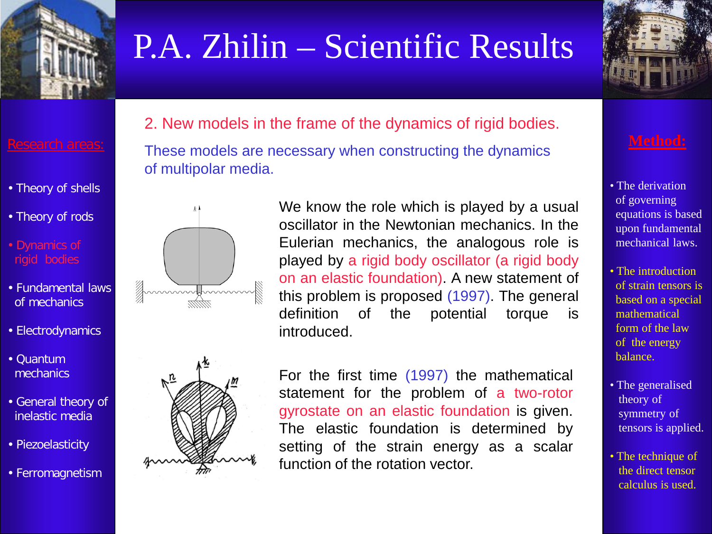



- Theory of shells
- Theory of rods
- Dynamics of rigid bodies
- Fundamental laws of mechanics
- Electrodynamics
- Quantum mechanics
- General theory of inelastic media
- Piezoelasticity
- Ferromagnetism

2. New models in the frame of the dynamics of rigid bodies.

These models are necessary when constructing the dynamics of multipolar media.





We know the role which is played by a usual oscillator in the Newtonian mechanics. In the Eulerian mechanics, the analogous role is played by a rigid body oscillator (a rigid body on an elastic foundation). A new statement of this problem is proposed (1997). The general definition of the potential torque is introduced.



For the first time (1997) the mathematical statement for the problem of a two-rotor gyrostate on an elastic foundation is given. The elastic foundation is determined by setting of the strain energy as a scalar function of the rotation vector.

- The derivation of governing equations is based upon fundamental mechanical laws.
- The introduction of strain tensors is based on a special mathematical form of the law of the energy balance.
- The generalised theory of symmetry of tensors is applied.
- The technique of the direct tensor calculus is used.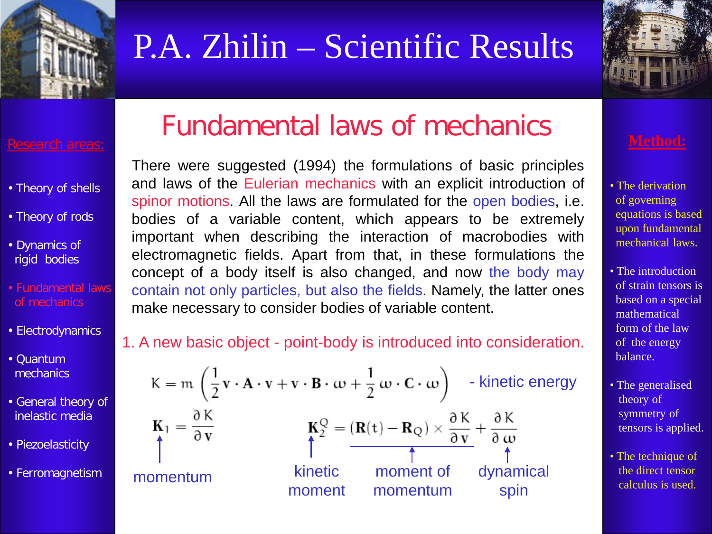



- Theory of shells
- Theory of rods
- Dynamics of rigid bodies
- Fundamental laws of mechanics
- Electrodynamics
- Quantum mechanics
- General theory of inelastic media
- Piezoelasticity
- Ferromagnetism

## Fundamental laws of mechanics

There were suggested (1994) the formulations of basic principles and laws of the Eulerian mechanics with an explicit introduction of spinor motions. All the laws are formulated for the open bodies, i.e. bodies of a variable content, which appears to be extremely important when describing the interaction of macrobodies with electromagnetic fields. Apart from that, in these formulations the concept of a body itself is also changed, and now the body may contain not only particles, but also the fields. Namely, the latter ones make necessary to consider bodies of variable content.

### 1. A new basic object - point-body is introduced into consideration.

$$
K = m \left( \frac{1}{2} \mathbf{v} \cdot \mathbf{A} \cdot \mathbf{v} + \mathbf{v} \cdot \mathbf{B} \cdot \boldsymbol{\omega} + \frac{1}{2} \boldsymbol{\omega} \cdot \mathbf{C} \cdot \boldsymbol{\omega} \right) \text{ - kinetic energy}
$$
\n
$$
\mathbf{K}_1 = \frac{\partial K}{\partial \mathbf{v}} \qquad \qquad \mathbf{K}_2^Q = (\mathbf{R}(t) - \mathbf{R}_Q) \times \frac{\partial K}{\partial \mathbf{v}} + \frac{\partial K}{\partial \mathbf{w}}
$$
\n
$$
\text{momentum} \qquad \qquad \text{hence,}
$$
\n
$$
\mathbf{momentum} \qquad \qquad \text{momentum} \qquad \qquad \text{dynamical} \qquad \text{momentum} \qquad \qquad \text{spin}
$$

- The derivation of governing equations is based upon fundamental mechanical laws.
- The introduction of strain tensors is based on a special mathematical form of the law of the energy balance.
- The generalised theory of symmetry of tensors is applied.
- The technique of the direct tensor calculus is used.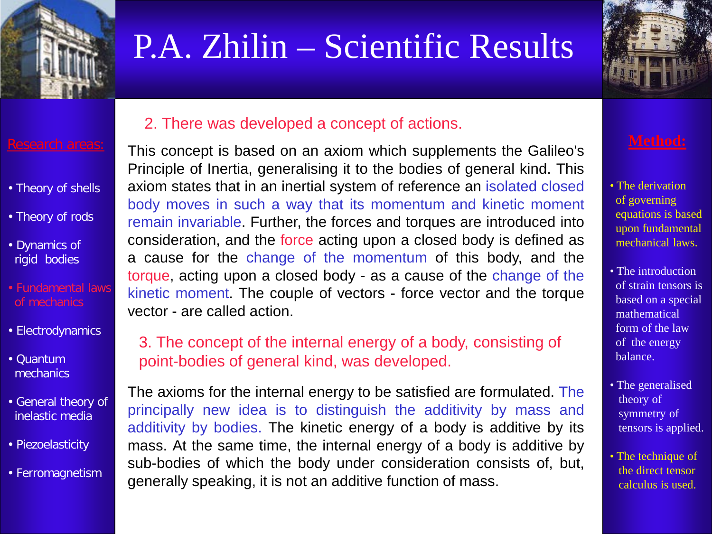



### 2. There was developed a concept of actions.

This concept is based on an axiom which supplements the Galileo's Principle of Inertia, generalising it to the bodies of general kind. This axiom states that in an inertial system of reference an isolated closed body moves in such a way that its momentum and kinetic moment remain invariable. Further, the forces and torques are introduced into consideration, and the force acting upon a closed body is defined as a cause for the change of the momentum of this body, and the torque, acting upon a closed body - as a cause of the change of the kinetic moment. The couple of vectors - force vector and the torque vector - are called action.

### of mechanics

• Fundamental laws

Research areas:

• Theory of shells

• Theory of rods

• Dynamics of rigid bodies

- Electrodynamics
- Quantum mechanics
- General theory of inelastic media
- Piezoelasticity
- Ferromagnetism

3. The concept of the internal energy of a body, consisting of point-bodies of general kind, was developed.

The axioms for the internal energy to be satisfied are formulated. The principally new idea is to distinguish the additivity by mass and additivity by bodies. The kinetic energy of a body is additive by its mass. At the same time, the internal energy of a body is additive by sub-bodies of which the body under consideration consists of, but, generally speaking, it is not an additive function of mass.

- The derivation of governing equations is based upon fundamental mechanical laws.
- The introduction of strain tensors is based on a special mathematical form of the law of the energy balance.
- The generalised theory of symmetry of tensors is applied.
- The technique of the direct tensor calculus is used.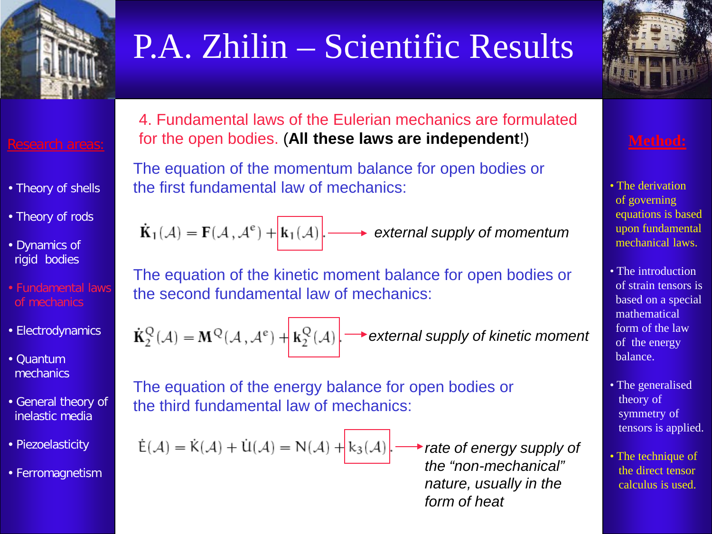



- Theory of shells
- Theory of rods
- Dynamics of rigid bodies
- Fundamental laws of mechanics
- Electrodynamics
- Quantum mechanics
- General theory of inelastic media
- Piezoelasticity
- Ferromagnetism

4. Fundamental laws of the Eulerian mechanics are formulated for the open bodies. (**All these laws are independent**!)

The equation of the momentum balance for open bodies or the first fundamental law of mechanics:

 $\dot{\mathbf{K}}_1(\mathcal{A}) = \mathbf{F}(\mathcal{A}, \mathcal{A}^e) + |\mathbf{k}_1(\mathcal{A})|$ . *external supply of momentum*

The equation of the kinetic moment balance for open bodies or the second fundamental law of mechanics:

 $\dot{\mathbf{K}}_2^Q(\mathcal{A}) = \mathbf{M}^Q(\mathcal{A}, \mathcal{A}^e) + \mathbf{k}_2^Q(\mathcal{A})$ . *external supply of kinetic moment*

The equation of the energy balance for open bodies or the third fundamental law of mechanics:

 $\dot{\mathsf{E}}(\mathcal{A}) = \dot{\mathsf{K}}(\mathcal{A}) + \dot{\mathsf{U}}(\mathcal{A}) = \mathsf{N}(\mathcal{A}) + k_3(\mathcal{A})$ 

*rate of energy supply of the "non-mechanical" nature, usually in the form of heat*

- The derivation of governing equations is based upon fundamental mechanical laws.
- The introduction of strain tensors is based on a special mathematical form of the law of the energy balance.
- The generalised theory of symmetry of tensors is applied.
- The technique of the direct tensor calculus is used.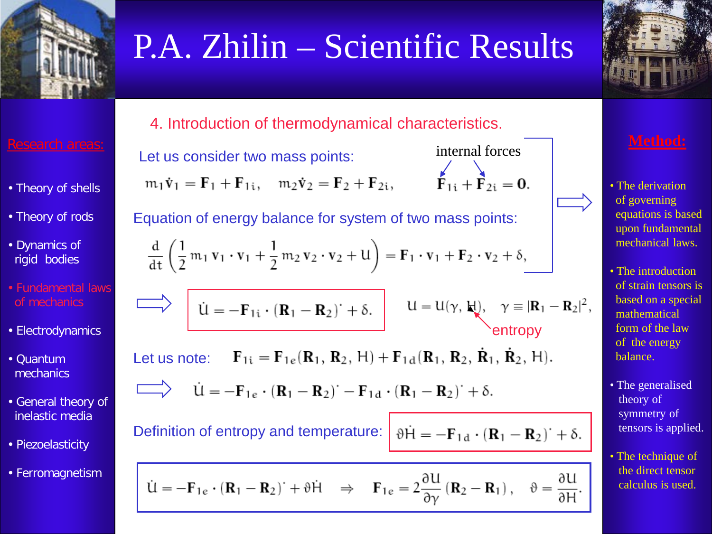



4. Introduction of thermodynamical characteristics.

Let us consider two mass points:

 $m_1 \dot{v}_1 = F_1 + F_{1i}$ ,  $m_2 \dot{v}_2 = F_2 + F_{2i}$ ,

internal forces  

$$
\overrightarrow{\mathbf{F}_{1i} + \mathbf{F}_{2i}} = \mathbf{0}.
$$

Equation of energy balance for system of two mass points:

$$
\frac{\mathrm{d}}{\mathrm{d}t}\left(\frac{1}{2}m_1\,\mathbf{v}_1\cdot\mathbf{v}_1+\frac{1}{2}m_2\,\mathbf{v}_2\cdot\mathbf{v}_2+\mathbf{U}\right)=\mathbf{F}_1\cdot\mathbf{v}_1+\mathbf{F}_2\cdot\mathbf{v}_2+\delta,
$$

$$
\begin{array}{c}\n\begin{array}{c}\n\downarrow \\
\hline\n\end{array}\n\end{array}
$$
\n
$$
\begin{array}{c}\n\downarrow \\
\hline\n\end{array}
$$
\n
$$
\begin{array}{c}\n\downarrow \\
\hline\n\end{array}
$$
\n
$$
\begin{array}{c}\n\downarrow \\
\hline\n\end{array}
$$
\n
$$
\begin{array}{c}\n\downarrow \\
\hline\n\end{array}
$$
\n
$$
\begin{array}{c}\n\downarrow \\
\hline\n\end{array}
$$
\n
$$
\begin{array}{c}\n\downarrow \\
\hline\n\end{array}
$$
\n
$$
\begin{array}{c}\n\downarrow \\
\hline\n\end{array}
$$
\n
$$
\begin{array}{c}\n\downarrow \\
\hline\n\end{array}
$$
\n
$$
\begin{array}{c}\n\downarrow \\
\hline\n\end{array}
$$
\n
$$
\begin{array}{c}\n\downarrow \\
\hline\n\end{array}
$$
\n
$$
\begin{array}{c}\n\downarrow \\
\hline\n\end{array}
$$
\n
$$
\begin{array}{c}\n\downarrow \\
\hline\n\end{array}
$$
\n
$$
\begin{array}{c}\n\downarrow \\
\hline\n\end{array}
$$
\n
$$
\begin{array}{c}\n\downarrow \\
\hline\n\end{array}
$$
\n
$$
\begin{array}{c}\n\downarrow \\
\hline\n\end{array}
$$
\n
$$
\begin{array}{c}\n\downarrow \\
\hline\n\end{array}
$$
\n
$$
\begin{array}{c}\n\downarrow \\
\hline\n\end{array}
$$
\n
$$
\begin{array}{c}\n\downarrow \\
\hline\n\end{array}
$$
\n
$$
\begin{array}{c}\n\downarrow \\
\hline\n\end{array}
$$
\n
$$
\begin{array}{c}\n\downarrow \\
\hline\n\end{array}
$$
\n
$$
\begin{array}{c}\n\downarrow \\
\hline\n\end{array}
$$
\n
$$
\begin{array}{c}\n\downarrow \\
\hline\n\end{array}
$$
\n
$$
\begin{array}{c}\n\downarrow \\
\hline\n\end{array}
$$
\n
$$
\begin{array}{c}\n\downarrow \\
\hline\n\end{array}
$$
\n
$$
\begin{array}{c}\n\downarrow \\
\hline\n\end{array}
$$

$$
\hat{\mathbf{U}} = -\mathbf{F}_{1e} \cdot (\mathbf{R}_1 - \mathbf{R}_2)^{\cdot} - \mathbf{F}_{1d} \cdot (\mathbf{R}_1 - \mathbf{R}_2)^{\cdot} + \delta.
$$

Definition of entropy and temperature:  $\vartheta \dot{H} = -\mathbf{F}_{1d} \cdot (\mathbf{R}_1 - \mathbf{R}_2)^{\cdot} + \delta.$ 

$$
\dot{\mathbf{U}} = -\mathbf{F}_{1e} \cdot (\mathbf{R}_1 - \mathbf{R}_2)^{\cdot} + \vartheta \dot{\mathbf{H}} \quad \Rightarrow \quad \mathbf{F}_{1e} = 2 \frac{\partial \mathbf{U}}{\partial \gamma} (\mathbf{R}_2 - \mathbf{R}_1) \,, \quad \vartheta = \frac{\partial \mathbf{U}}{\partial \mathbf{H}}
$$

- The derivation of governing equations is based upon fundamental mechanical laws.
- The introduction of strain tensors is based on a special mathematical form of the law of the energy balance.
- The generalised theory of symmetry of tensors is applied.
- The technique of the direct tensor calculus is used.

• Fundamental laws of mechanics

Research areas:

• Theory of shells

• Theory of rods

• Dynamics of rigid bodies

- Electrodynamics
- Quantum mechanics
- General theory of inelastic media
- Piezoelasticity
- Ferromagnetism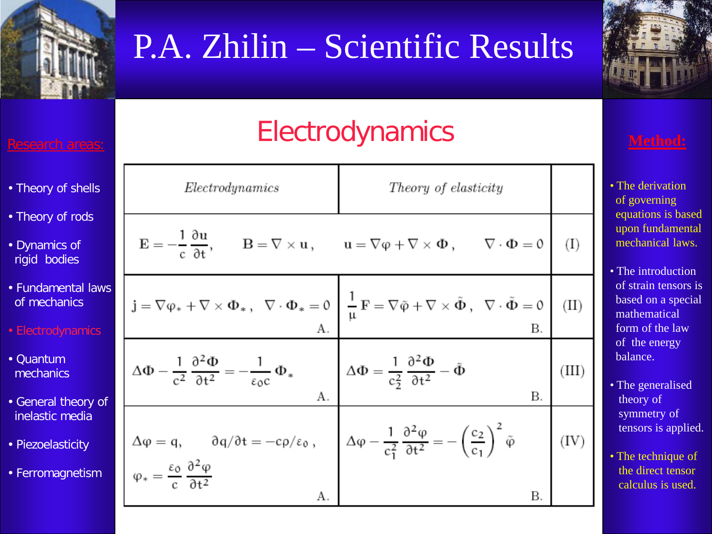

# P.A. Zhilin – Scientific Results



## **Electrodynamics**

| • Theory of shells                     | Electrodynamics                                                                                                                                                                                                                                                                                                                                                                       | Theory of elasticity                                                                                                                                                                                                                                  |       |
|----------------------------------------|---------------------------------------------------------------------------------------------------------------------------------------------------------------------------------------------------------------------------------------------------------------------------------------------------------------------------------------------------------------------------------------|-------------------------------------------------------------------------------------------------------------------------------------------------------------------------------------------------------------------------------------------------------|-------|
| • Theory of rods                       |                                                                                                                                                                                                                                                                                                                                                                                       |                                                                                                                                                                                                                                                       |       |
| • Dynamics of<br>rigid bodies          |                                                                                                                                                                                                                                                                                                                                                                                       | $E = -\frac{1}{c} \frac{\partial u}{\partial t}, \qquad B = \nabla \times u, \qquad u = \nabla \varphi + \nabla \times \Phi, \qquad \nabla \cdot \Phi = 0$                                                                                            | (I)   |
| • Fundamental laws<br>of mechanics     |                                                                                                                                                                                                                                                                                                                                                                                       | $\mathbf{j} = \nabla \phi_* + \nabla \times \Phi_*, \ \ \nabla \cdot \Phi_* = 0 \, \left  \, \, \frac{1}{\mu} \, \mathbf{F} = \nabla \tilde{\phi} + \nabla \times \tilde{\Phi} \, , \ \ \nabla \cdot \tilde{\Phi} = 0 \, \right  \  \, (\mathrm{II})$ |       |
| • Electrodynamics                      |                                                                                                                                                                                                                                                                                                                                                                                       |                                                                                                                                                                                                                                                       |       |
| • Quantum<br>mechanics                 | $\Delta \Phi - \frac{1}{c^2} \frac{\partial^2 \Phi}{\partial t^2} = -\frac{1}{\epsilon_0 c} \Phi_*$ $\Delta \Phi = \frac{1}{c_2^2} \frac{\partial^2 \Phi}{\partial t^2} - \tilde{\Phi}$                                                                                                                                                                                               |                                                                                                                                                                                                                                                       | (III) |
| • General theory of<br>inelastic media |                                                                                                                                                                                                                                                                                                                                                                                       | В.                                                                                                                                                                                                                                                    |       |
| • Piezoelasticity                      | $\label{eq:delta} \left\{ \begin{array}{l} \Delta \phi = \mathfrak{q}, \qquad \mathfrak{d} \mathfrak{q} / \mathfrak{d} \mathfrak{t} = - c \rho / \epsilon_0 \ , \qquad \left  \begin{array}{l} \Delta \phi - \frac{1}{c_1^2} \, \frac{\mathfrak{d}^2 \phi}{\mathfrak{d} \mathfrak{t}^2} = - \left( \frac{c_2}{c_1} \right)^2 \, \tilde{\phi} \end{array} \right. \right. \end{array}$ |                                                                                                                                                                                                                                                       | (IV)  |
| • Ferromagnetism                       | А.                                                                                                                                                                                                                                                                                                                                                                                    | В.                                                                                                                                                                                                                                                    |       |

- The derivation of governing equations is based upon fundamental mechanical laws.
- The introduction of strain tensors is based on a special mathematical form of the law of the energy balance.
- The generalised theory of symmetry of tensors is applied.
- The technique of the direct tensor calculus is used.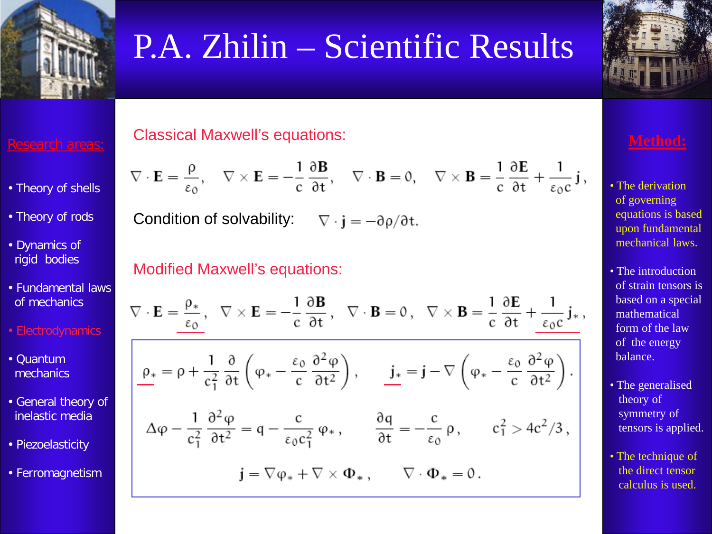



- Theory of shells
- Theory of rods
- Dynamics of rigid bodies
- Fundamental laws of mechanics
- Electrodynamics
- Quantum mechanics
- General theory of inelastic media
- Piezoelasticity
- Ferromagnetism

### Classical Maxwell's equations:

$$
\nabla \cdot \mathbf{E} = \frac{\rho}{\epsilon_0}, \quad \nabla \times \mathbf{E} = -\frac{1}{c} \frac{\partial \mathbf{B}}{\partial t}, \quad \nabla \cdot \mathbf{B} = 0, \quad \nabla \times \mathbf{B} = \frac{1}{c} \frac{\partial \mathbf{E}}{\partial t} + \frac{1}{\epsilon_0 c} \mathbf{j},
$$

Condition of solvability:  $\nabla \cdot \mathbf{j} = -\partial \rho / \partial \mathbf{t}$ .

### Modified Maxwell's equations:

$$
\nabla \cdot \mathbf{E} = \frac{\rho_*}{\epsilon_0}, \quad \nabla \times \mathbf{E} = -\frac{1}{c} \frac{\partial \mathbf{B}}{\partial t}, \quad \nabla \cdot \mathbf{B} = 0, \quad \nabla \times \mathbf{B} = \frac{1}{c} \frac{\partial \mathbf{E}}{\partial t} + \frac{1}{\epsilon_0 c} \mathbf{j_*},
$$
\n
$$
\underline{\rho_*} = \rho + \frac{1}{c_1^2} \frac{\partial}{\partial t} \left( \phi_* - \frac{\epsilon_0}{c} \frac{\partial^2 \phi}{\partial t^2} \right), \qquad \underline{\mathbf{j_*}} = \mathbf{j} - \nabla \left( \phi_* - \frac{\epsilon_0}{c} \frac{\partial^2 \phi}{\partial t^2} \right).
$$
\n
$$
\Delta \phi - \frac{1}{c_1^2} \frac{\partial^2 \phi}{\partial t^2} = q - \frac{c}{\epsilon_0 c_1^2} \phi_*, \qquad \frac{\partial q}{\partial t} = -\frac{c}{\epsilon_0} \rho, \qquad c_1^2 > 4c^2/3,
$$
\n
$$
\mathbf{j} = \nabla \phi_* + \nabla \times \Phi_*, \qquad \nabla \cdot \Phi_* = 0.
$$



- The derivation of governing equations is based upon fundamental mechanical laws.
- The introduction of strain tensors is based on a special mathematical form of the law of the energy balance.
- The generalised theory of symmetry of tensors is applied.
- The technique of the direct tensor calculus is used.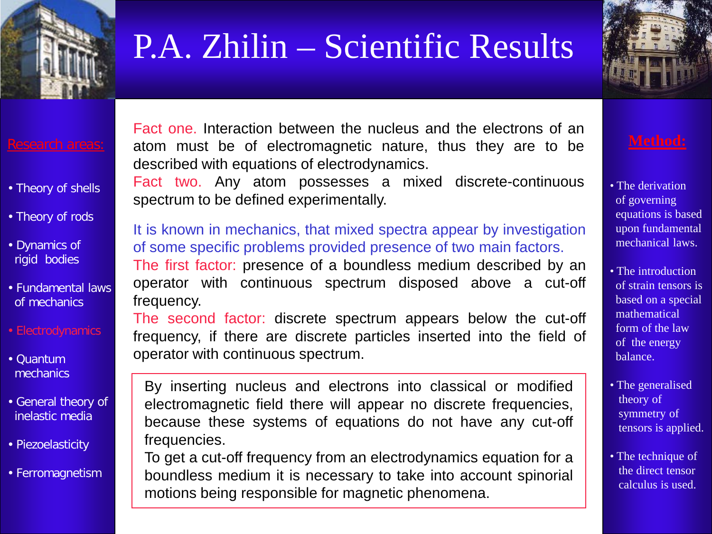



### Research areas:

- Theory of shells
- Theory of rods
- Dynamics of rigid bodies
- Fundamental laws of mechanics
- Electrodynamics
- Quantum mechanics
- General theory of inelastic media
- Piezoelasticity
- Ferromagnetism

Fact one. Interaction between the nucleus and the electrons of an atom must be of electromagnetic nature, thus they are to be described with equations of electrodynamics.

Fact two. Any atom possesses a mixed discrete-continuous spectrum to be defined experimentally.

### It is known in mechanics, that mixed spectra appear by investigation of some specific problems provided presence of two main factors.

The first factor: presence of a boundless medium described by an operator with continuous spectrum disposed above a cut-off frequency.

The second factor: discrete spectrum appears below the cut-off frequency, if there are discrete particles inserted into the field of operator with continuous spectrum.

By inserting nucleus and electrons into classical or modified electromagnetic field there will appear no discrete frequencies, because these systems of equations do not have any cut-off frequencies.

To get a cut-off frequency from an electrodynamics equation for a boundless medium it is necessary to take into account spinorial motions being responsible for magnetic phenomena.

- The derivation of governing equations is based upon fundamental mechanical laws.
- The introduction of strain tensors is based on a special mathematical form of the law of the energy balance.
- The generalised theory of symmetry of tensors is applied.
- The technique of the direct tensor calculus is used.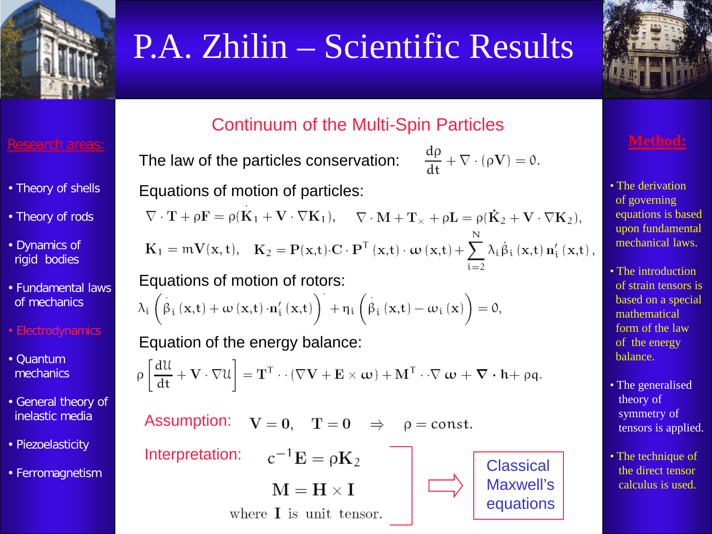



### Research areas:

- Theory of shells
- Theory of rods
- Dynamics of rigid bodies
- Fundamental laws of mechanics
- Electrodynamics
- Quantum mechanics
- General theory of inelastic media
- Piezoelasticity
- Ferromagnetism

### Continuum of the Multi-Spin Particles

The law of the particles conservation:

$$
\frac{d\rho}{dt}+\nabla\cdot(\rho\mathbf{V})=0.
$$

Equations of motion of particles:

 $\nabla\cdot\mathbf{T}+\rho\mathbf{F}=\rho(\mathbf{K}_1+\mathbf{V}\cdot\nabla\mathbf{K}_1),\hspace{0.5cm}\nabla\cdot\mathbf{M}+\mathbf{T}_{\times}+\rho\mathbf{L}=\rho(\mathbf{\dot{K}}_2+\mathbf{V}\cdot\nabla\mathbf{K}_2),$  $\mathbf{K}_1 = \mathfrak{m} \mathbf{V}(\mathbf{x}, t), \quad \mathbf{K}_2 = \mathbf{P}(\mathbf{x}, t) \cdot \mathbf{C} \cdot \mathbf{P}^\mathsf{T} \left( \mathbf{x}, t \right) \cdot \boldsymbol{\omega} \left( \mathbf{x}, t \right) + \sum_{i=1}^n \lambda_i \dot{\beta}_i \left( \mathbf{x}, t \right) \mathbf{n}'_i \left( \mathbf{x}, t \right),$ 

Equations of motion of rotors:

$$
\lambda_{i}\left(\overset{\cdot}{\beta}_{i}\left(\mathbf{x},t\right)+\omega\left(\mathbf{x},t\right)\cdot\mathbf{n}_{i}^{\prime}\left(\mathbf{x},t\right)\right)^{\cdot}+\eta_{i}\left(\overset{\cdot}{\beta}_{i}\left(\mathbf{x},t\right)-\omega_{i}\left(\mathbf{x}\right)\right)=0,
$$

Equation of the energy balance:

 $\rho \left[ \frac{d\mathcal{U}}{dt} + \mathbf{V} \cdot \nabla \mathcal{U} \right] = \mathbf{T}^{\mathsf{T}} \cdot \cdot (\nabla \mathbf{V} + \mathbf{E} \times \boldsymbol{\omega}) + \mathbf{M}^{\mathsf{T}} \cdot \cdot \nabla \boldsymbol{\omega} + \boldsymbol{\nabla} \cdot \mathbf{h} + \rho \mathbf{q}.$ 

 $V = 0$ ,  $T = 0$   $\Rightarrow$   $\rho = \text{const.}$ 

Assumption:

Interpretation:  $c^{-1}E = \rho K_2$  | Classical

 $M = H \times I$ 

where  $\bf{I}$  is unit tensor.



Maxwell's equations

- The derivation of governing equations is based upon fundamental mechanical laws.
- The introduction of strain tensors is based on a special mathematical form of the law of the energy balance.
- The generalised theory of symmetry of tensors is applied.
- The technique of the direct tensor calculus is used.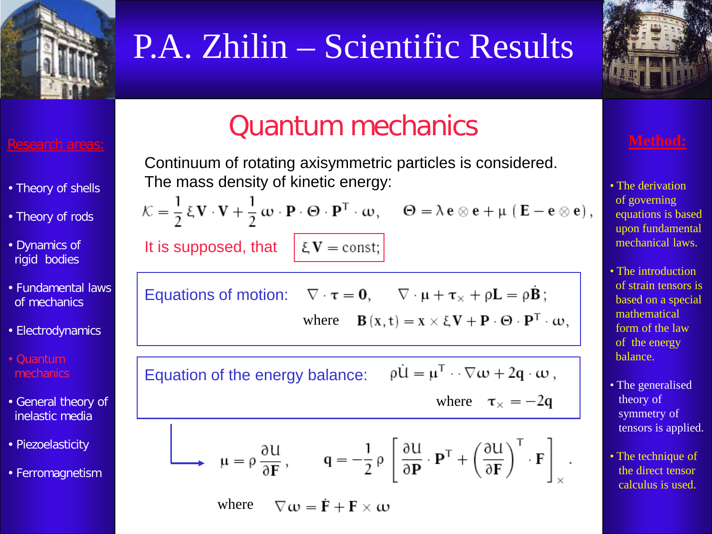



### Research areas:

- Theory of shells
- Theory of rods
- Dynamics of rigid bodies
- Fundamental laws of mechanics
- Electrodynamics
- Quantum mechanics
- General theory of inelastic media
- Piezoelasticity
- Ferromagnetism

## Quantum mechanics

Continuum of rotating axisymmetric particles is considered. The mass density of kinetic energy:

 $\mathcal{K} = \frac{1}{2} \xi \mathbf{V} \cdot \mathbf{V} + \frac{1}{2} \boldsymbol{\omega} \cdot \mathbf{P} \cdot \boldsymbol{\Theta} \cdot \mathbf{P}^{\mathsf{T}} \cdot \boldsymbol{\omega}, \quad \boldsymbol{\Theta} = \lambda \mathbf{e} \otimes \mathbf{e} + \mu (\mathbf{E} - \mathbf{e} \otimes \mathbf{e}),$ It is supposed, that  $\sum$   $\sum$   $\sum$   $\sum$   $\sum$   $\sum$   $\sum$   $\sum$ 

Equations of motion: 
$$
\nabla \cdot \mathbf{r} = \mathbf{0}
$$
,  $\nabla \cdot \mathbf{\mu} + \mathbf{\tau}_{\times} + \rho \mathbf{L} = \rho \dot{\mathbf{B}}$ ;  
where  $\mathbf{B}(x, t) = x \times \xi \mathbf{V} + \mathbf{P} \cdot \Theta \cdot \mathbf{P}^T \cdot \omega$ 

 $\rho \dot{\mathbf{U}} = \mathbf{\mu}^{\mathrm{T}} \cdot \nabla \mathbf{\omega} + 2\mathbf{q} \cdot \mathbf{\omega}$ , Equation of the energy balance: where  $\tau_{\times} = -2q$ 

$$
\rightarrow \mu = \rho \frac{\partial U}{\partial \mathbf{F}}, \qquad \mathbf{q} = -\frac{1}{2} \rho \left[ \frac{\partial U}{\partial \mathbf{P}} \cdot \mathbf{P}^{\mathsf{T}} + \left( \frac{\partial U}{\partial \mathbf{F}} \right)^{\mathsf{T}} \cdot \mathbf{F} \right]_{\times}
$$

 $\nabla \omega = \dot{\mathbf{F}} + \mathbf{F} \times \omega$ where

- The derivation of governing equations is based upon fundamental mechanical laws.
- The introduction of strain tensors is based on a special mathematical form of the law of the energy balance.
- The generalised theory of symmetry of tensors is applied.
- The technique of the direct tensor calculus is used.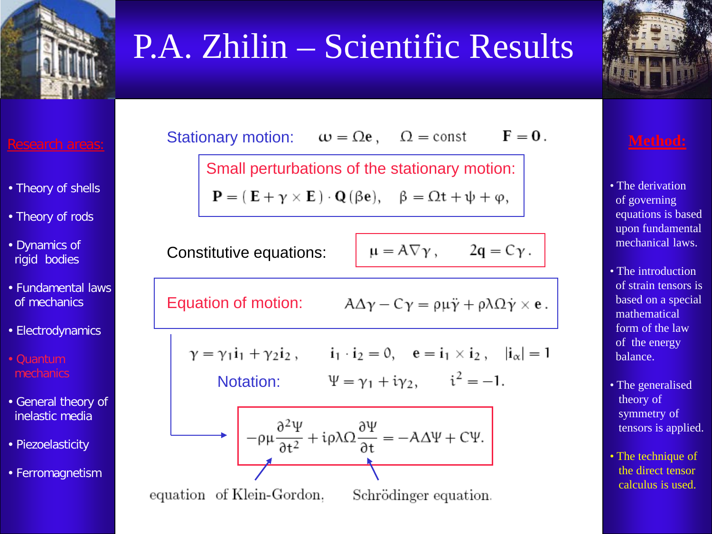



- Theory of shells
- Theory of rods
- Dynamics of rigid bodies
- Fundamental laws of mechanics
- Electrodynamics
- Quantum mechanics
- General theory of inelastic media
- Piezoelasticity
- Ferromagnetism

 $F = 0.$ Stationary motion:  $\omega = \Omega e$ ,  $\Omega = \text{const}$ 

Small perturbations of the stationary motion:

 $\mathbf{P} = (\mathbf{E} + \gamma \times \mathbf{E}) \cdot \mathbf{Q} (\beta \mathbf{e}), \quad \beta = \Omega \mathbf{t} + \psi + \varphi,$ 

Constitutive equations:

$$
a = A \nabla \gamma, \qquad 2q = C \gamma.
$$

Equation of motion:  $A\Delta\gamma - C\gamma = \rho\mu\ddot{\gamma} + \rho\lambda\Omega\dot{\gamma} \times \mathbf{e}$ .

$$
\gamma = \gamma_1 i_1 + \gamma_2 i_2, \qquad i_1 \cdot i_2 = 0, \quad e = i_1 \times i_2, \quad |i_\alpha| = 1
$$
  
Notation: 
$$
\Psi = \gamma_1 + i \gamma_2, \qquad i^2 = -1.
$$

Station:

\n
$$
\Psi = \gamma_1 + i\gamma_2, \qquad i^2 = -1.
$$



equation of Klein-Gordon, Schrödinger equation.

- The derivation of governing equations is based upon fundamental mechanical laws.
- The introduction of strain tensors is based on a special mathematical form of the law of the energy balance.
- The generalised theory of symmetry of tensors is applied.
- The technique of the direct tensor calculus is used.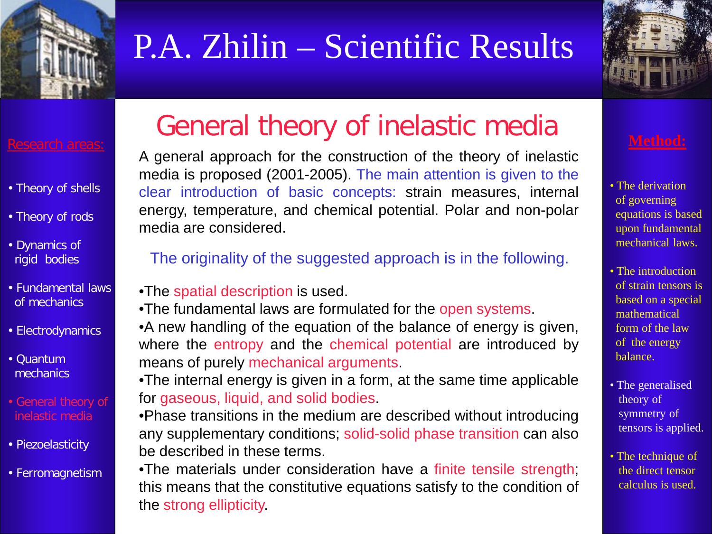



- Theory of shells
- Theory of rods
- Dynamics of rigid bodies
- Fundamental laws of mechanics
- Electrodynamics
- Quantum mechanics
- General theory of inelastic media
- Piezoelasticity
- Ferromagnetism

## General theory of inelastic media

A general approach for the construction of the theory of inelastic media is proposed (2001-2005). The main attention is given to the clear introduction of basic concepts: strain measures, internal energy, temperature, and chemical potential. Polar and non-polar media are considered.

### The originality of the suggested approach is in the following.

- •The spatial description is used.
- •The fundamental laws are formulated for the open systems.
- •A new handling of the equation of the balance of energy is given, where the entropy and the chemical potential are introduced by means of purely mechanical arguments.

•The internal energy is given in a form, at the same time applicable for gaseous, liquid, and solid bodies.

•Phase transitions in the medium are described without introducing any supplementary conditions; solid-solid phase transition can also be described in these terms.

•The materials under consideration have a finite tensile strength; this means that the constitutive equations satisfy to the condition of the strong ellipticity.

- The derivation of governing equations is based upon fundamental mechanical laws.
- The introduction of strain tensors is based on a special mathematical form of the law of the energy balance.
- The generalised theory of symmetry of tensors is applied.
- The technique of the direct tensor calculus is used.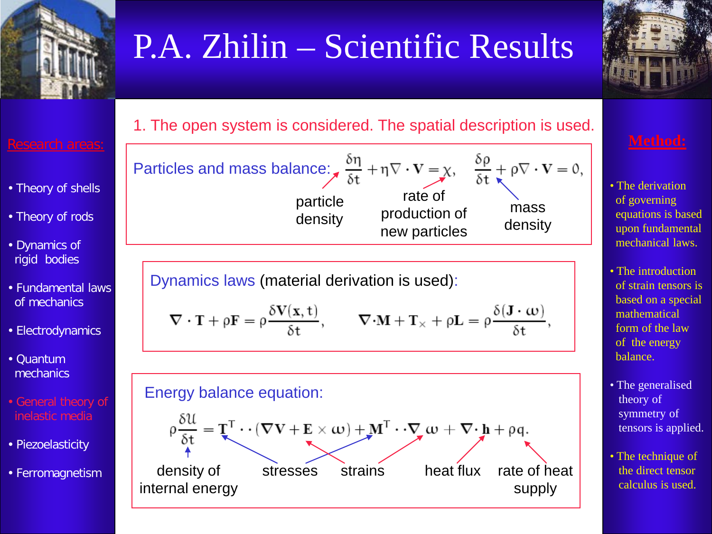





- Theory of shells
- Theory of rods
- Dynamics of rigid bodies
- Fundamental laws of mechanics
- Electrodynamics
- Quantum mechanics
- General theory of inelastic media
- Piezoelasticity
- Ferromagnetism





Dynamics laws (material derivation is used):

$$
\nabla\cdot\mathbf{T}+\rho\mathbf{F}=\rho\frac{\delta\mathbf{V}(x,t)}{\delta t},\qquad \nabla\cdot\mathbf{M}+\mathbf{T}_{\times}+\rho\mathbf{L}=\rho\frac{\delta(\mathbf{J}\cdot\boldsymbol{\omega})}{\delta t},
$$



- The derivation of governing equations is based upon fundamental mechanical laws.
- The introduction of strain tensors is based on a special mathematical form of the law of the energy balance.
- The generalised theory of symmetry of tensors is applied.
- The technique of the direct tensor calculus is used.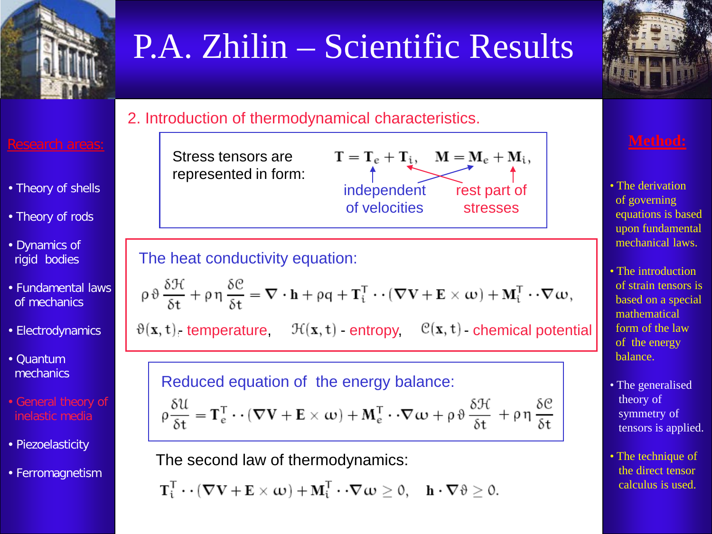



### 2. Introduction of thermodynamical characteristics.

### Research areas:

- Theory of shells
- Theory of rods
- Dynamics of rigid bodies
- Fundamental laws of mechanics
- Electrodynamics
- Quantum mechanics
- General theory of inelastic media
- Piezoelasticity
- Ferromagnetism



### The heat conductivity equation:

$$
\rho \vartheta \frac{\delta \mathcal{H}}{\delta t} + \rho \eta \frac{\delta \mathcal{C}}{\delta t} = \nabla \cdot \mathbf{h} + \rho q + \mathbf{T}_i^T \cdot \cdot (\nabla \mathbf{V} + \mathbf{E} \times \boldsymbol{\omega}) + \mathbf{M}_i^T \cdot \cdot \nabla \boldsymbol{\omega},
$$

 $\vartheta(x, t)$  temperature,  $\mathcal{H}(x, t)$  entropy,  $\mathcal{C}(x, t)$  chemical potential

## Reduced equation of the energy balance:

$$
\rho \frac{\delta \mathcal{U}}{\delta t} = \mathbf{T}_{e}^{T} \cdot \cdot (\nabla \mathbf{V} + \mathbf{E} \times \boldsymbol{\omega}) + \mathbf{M}_{e}^{T} \cdot \cdot \nabla \boldsymbol{\omega} + \rho \vartheta \frac{\delta \mathcal{H}}{\delta t} + \rho \eta \frac{\delta \mathcal{C}}{\delta t}
$$

The second law of thermodynamics:

$$
\mathbf{T}_i^T\cdot\cdot(\boldsymbol{\nabla}\mathbf{V}+\mathbf{E}\times\boldsymbol{\omega})+\mathbf{M}_i^T\cdot\cdot\boldsymbol{\nabla}\boldsymbol{\omega}\geq 0,\quad \mathbf{h}\cdot\boldsymbol{\nabla}\vartheta\geq 0.
$$

- The derivation of governing equations is based upon fundamental mechanical laws.
- The introduction of strain tensors is based on a special mathematical form of the law of the energy balance.
- The generalised theory of symmetry of tensors is applied.
- The technique of the direct tensor calculus is used.